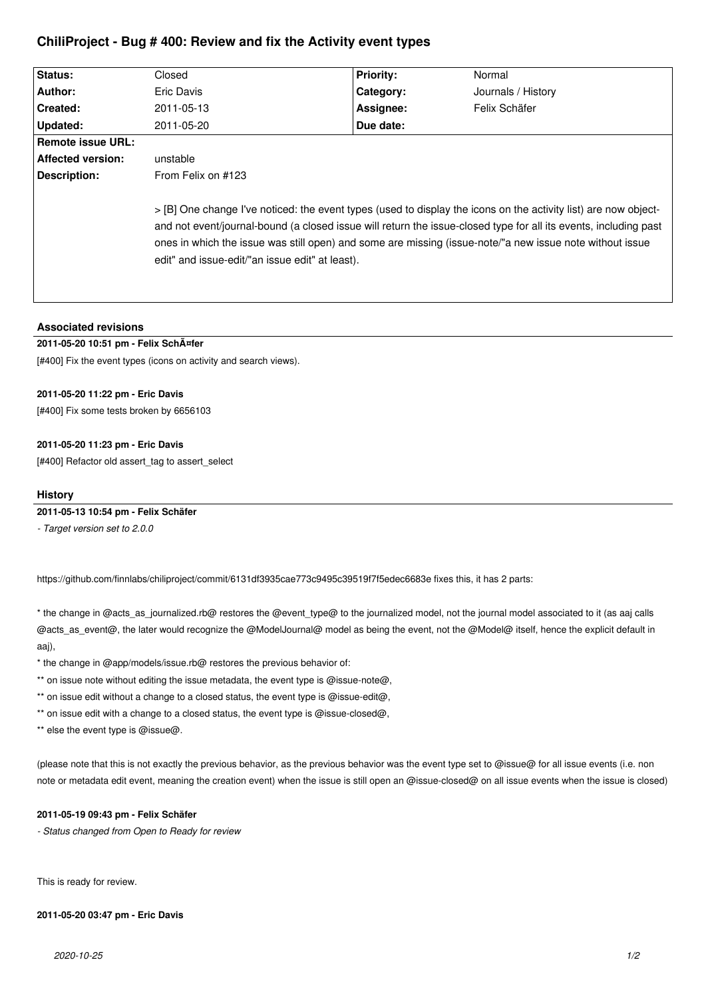# **ChiliProject - Bug # 400: Review and fix the Activity event types**

| Status:           | Closed                                                                                                                                                                                                                                                                                                                                                                                             | <b>Priority:</b> | Normal             |
|-------------------|----------------------------------------------------------------------------------------------------------------------------------------------------------------------------------------------------------------------------------------------------------------------------------------------------------------------------------------------------------------------------------------------------|------------------|--------------------|
| Author:           | Eric Davis                                                                                                                                                                                                                                                                                                                                                                                         | Category:        | Journals / History |
| Created:          | 2011-05-13                                                                                                                                                                                                                                                                                                                                                                                         | Assignee:        | Felix Schäfer      |
| Updated:          | 2011-05-20                                                                                                                                                                                                                                                                                                                                                                                         | Due date:        |                    |
| Remote issue URL: |                                                                                                                                                                                                                                                                                                                                                                                                    |                  |                    |
| Affected version: | unstable                                                                                                                                                                                                                                                                                                                                                                                           |                  |                    |
| Description:      | From Felix on #123                                                                                                                                                                                                                                                                                                                                                                                 |                  |                    |
|                   | > [B] One change I've noticed: the event types (used to display the icons on the activity list) are now object-<br>and not event/journal-bound (a closed issue will return the issue-closed type for all its events, including past<br>ones in which the issue was still open) and some are missing (issue-note/"a new issue note without issue<br>edit" and issue-edit/"an issue edit" at least). |                  |                    |

# **Associated revisions**

# **2011-05-20 10:51 pm - Felix Schäfer**

[#400] Fix the event types (icons on activity and search views).

# **2011-05-20 11:22 pm - Eric Davis**

[#400] Fix some tests broken by 6656103

# **2011-05-20 11:23 pm - Eric Davis**

[#400] Refactor old assert\_tag to assert\_select

#### **History**

**2011-05-13 10:54 pm - Felix Schäfer**

*- Target version set to 2.0.0*

https://github.com/finnlabs/chiliproject/commit/6131df3935cae773c9495c39519f7f5edec6683e fixes this, it has 2 parts:

\* the change in @acts as journalized.rb@ restores the @event type@ to the journalized model, not the journal model associated to it (as aaj calls @acts\_as\_event@, the later would recognize the @ModelJournal@ model as being the event, not the @Model@ itself, hence the explicit default in aaj),

\* the change in @app/models/issue.rb@ restores the previous behavior of:

\*\* on issue note without editing the issue metadata, the event type is @issue-note@,

\*\* on issue edit without a change to a closed status, the event type is @issue-edit@,

\*\* on issue edit with a change to a closed status, the event type is @issue-closed@,

\*\* else the event type is @issue@.

(please note that this is not exactly the previous behavior, as the previous behavior was the event type set to @issue@ for all issue events (i.e. non note or metadata edit event, meaning the creation event) when the issue is still open an @issue-closed@ on all issue events when the issue is closed)

#### **2011-05-19 09:43 pm - Felix Schäfer**

*- Status changed from Open to Ready for review*

This is ready for review.

# **2011-05-20 03:47 pm - Eric Davis**